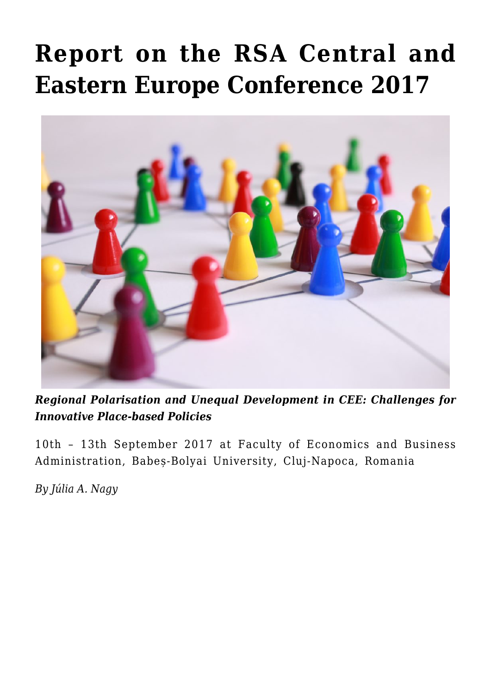## **[Report on the RSA Central and](https://regions.regionalstudies.org/ezine/article/report-on-the-rsa-central-and-eastern-europe-conference-2017/) [Eastern Europe Conference 2017](https://regions.regionalstudies.org/ezine/article/report-on-the-rsa-central-and-eastern-europe-conference-2017/)**



*[Regional Polarisation and Unequal Development in CEE: Challenges for](http://www.regionalstudies.org/conferences/conference/rsa-cee-cluj2017) [Innovative Place-based Policies](http://www.regionalstudies.org/conferences/conference/rsa-cee-cluj2017)*

10th – 13th September 2017 at Faculty of Economics and Business Administration, Babeș-Bolyai University, Cluj-Napoca, Romania

*By [Júlia A. Nagy](https://www.researchgate.net/profile/Julia_Nagy5)*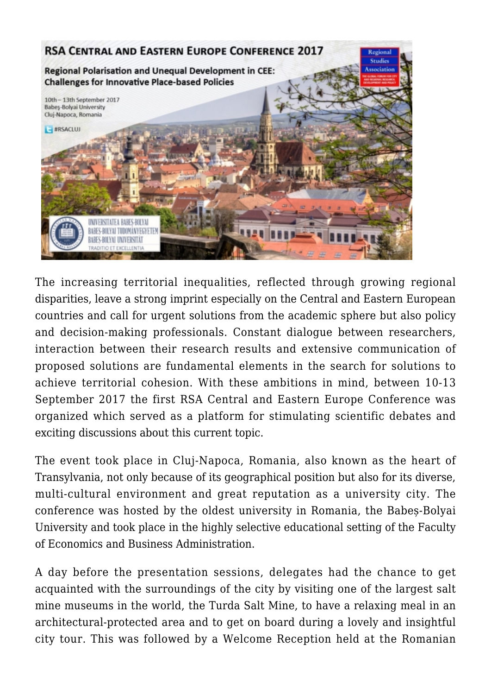

The increasing territorial inequalities, reflected through growing regional disparities, leave a strong imprint especially on the Central and Eastern European countries and call for urgent solutions from the academic sphere but also policy and decision-making professionals. Constant dialogue between researchers, interaction between their research results and extensive communication of proposed solutions are fundamental elements in the search for solutions to achieve territorial cohesion. With these ambitions in mind, between 10-13 September 2017 the first RSA Central and Eastern Europe Conference was organized which served as a platform for stimulating scientific debates and exciting discussions about this current topic.

The event took place in Cluj-Napoca, Romania, also known as the heart of Transylvania, not only because of its geographical position but also for its diverse, multi-cultural environment and great reputation as a university city. The conference was hosted by the oldest university in Romania, the Babeș-Bolyai University and took place in the highly selective educational setting of the Faculty of Economics and Business Administration.

A day before the presentation sessions, delegates had the chance to get acquainted with the surroundings of the city by visiting one of the largest salt mine museums in the world, the Turda Salt Mine, to have a relaxing meal in an architectural-protected area and to get on board during a lovely and insightful city tour. This was followed by a Welcome Reception held at the Romanian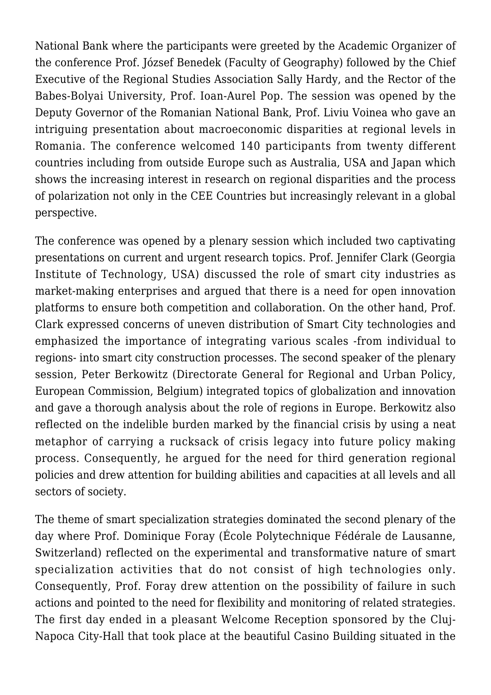National Bank where the participants were greeted by the Academic Organizer of the conference Prof. József Benedek (Faculty of Geography) followed by the Chief Executive of the Regional Studies Association Sally Hardy, and the Rector of the Babes-Bolyai University, Prof. Ioan-Aurel Pop. The session was opened by the Deputy Governor of the Romanian National Bank, Prof. Liviu Voinea who gave an intriguing presentation about macroeconomic disparities at regional levels in Romania. The conference welcomed 140 participants from twenty different countries including from outside Europe such as Australia, USA and Japan which shows the increasing interest in research on regional disparities and the process of polarization not only in the CEE Countries but increasingly relevant in a global perspective.

The conference was opened by a plenary session which included two captivating presentations on current and urgent research topics. Prof. Jennifer Clark (Georgia Institute of Technology, USA) discussed the role of smart city industries as market-making enterprises and argued that there is a need for open innovation platforms to ensure both competition and collaboration. On the other hand, Prof. Clark expressed concerns of uneven distribution of Smart City technologies and emphasized the importance of integrating various scales -from individual to regions- into smart city construction processes. The second speaker of the plenary session, Peter Berkowitz (Directorate General for Regional and Urban Policy, European Commission, Belgium) integrated topics of globalization and innovation and gave a thorough analysis about the role of regions in Europe. Berkowitz also reflected on the indelible burden marked by the financial crisis by using a neat metaphor of carrying a rucksack of crisis legacy into future policy making process. Consequently, he argued for the need for third generation regional policies and drew attention for building abilities and capacities at all levels and all sectors of society.

The theme of smart specialization strategies dominated the second plenary of the day where Prof. Dominique Foray (École Polytechnique Fédérale de Lausanne, Switzerland) reflected on the experimental and transformative nature of smart specialization activities that do not consist of high technologies only. Consequently, Prof. Foray drew attention on the possibility of failure in such actions and pointed to the need for flexibility and monitoring of related strategies. The first day ended in a pleasant Welcome Reception sponsored by the Cluj-Napoca City-Hall that took place at the beautiful Casino Building situated in the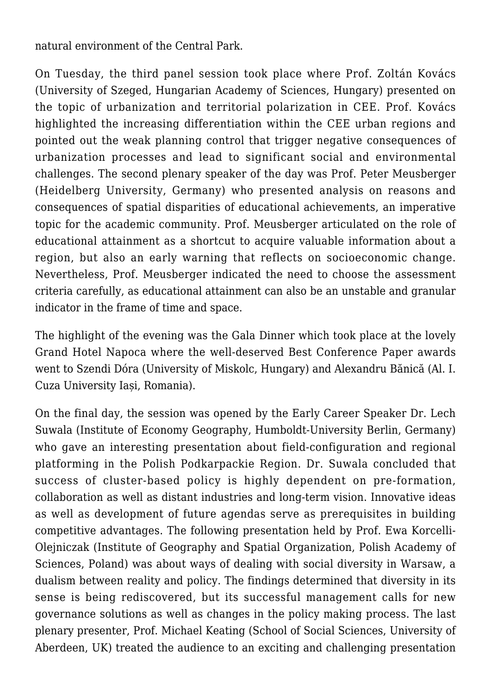natural environment of the Central Park.

On Tuesday, the third panel session took place where Prof. Zoltán Kovács (University of Szeged, Hungarian Academy of Sciences, Hungary) presented on the topic of urbanization and territorial polarization in CEE. Prof. Kovács highlighted the increasing differentiation within the CEE urban regions and pointed out the weak planning control that trigger negative consequences of urbanization processes and lead to significant social and environmental challenges. The second plenary speaker of the day was Prof. Peter Meusberger (Heidelberg University, Germany) who presented analysis on reasons and consequences of spatial disparities of educational achievements, an imperative topic for the academic community. Prof. Meusberger articulated on the role of educational attainment as a shortcut to acquire valuable information about a region, but also an early warning that reflects on socioeconomic change. Nevertheless, Prof. Meusberger indicated the need to choose the assessment criteria carefully, as educational attainment can also be an unstable and granular indicator in the frame of time and space.

The highlight of the evening was the Gala Dinner which took place at the lovely Grand Hotel Napoca where the well-deserved Best Conference Paper awards went to Szendi Dóra (University of Miskolc, Hungary) and Alexandru Bănică (Al. I. Cuza University Iași, Romania).

On the final day, the session was opened by the Early Career Speaker Dr. Lech Suwala (Institute of Economy Geography, Humboldt-University Berlin, Germany) who gave an interesting presentation about field-configuration and regional platforming in the Polish Podkarpackie Region. Dr. Suwala concluded that success of cluster-based policy is highly dependent on pre-formation, collaboration as well as distant industries and long-term vision. Innovative ideas as well as development of future agendas serve as prerequisites in building competitive advantages. The following presentation held by Prof. Ewa Korcelli-Olejniczak (Institute of Geography and Spatial Organization, Polish Academy of Sciences, Poland) was about ways of dealing with social diversity in Warsaw, a dualism between reality and policy. The findings determined that diversity in its sense is being rediscovered, but its successful management calls for new governance solutions as well as changes in the policy making process. The last plenary presenter, Prof. Michael Keating (School of Social Sciences, University of Aberdeen, UK) treated the audience to an exciting and challenging presentation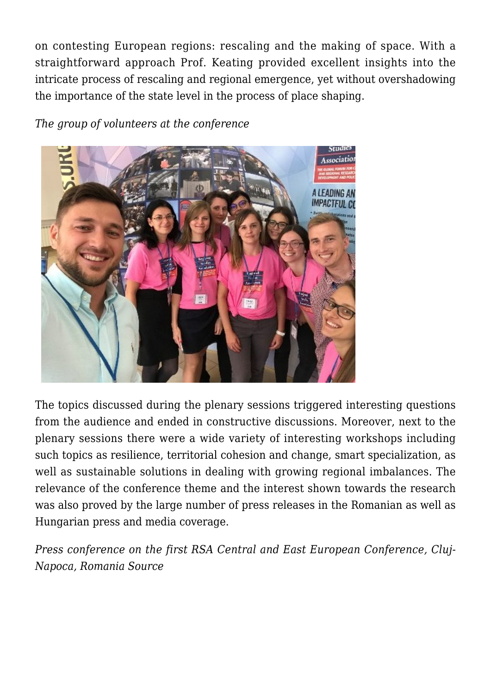on contesting European regions: rescaling and the making of space. With a straightforward approach Prof. Keating provided excellent insights into the intricate process of rescaling and regional emergence, yet without overshadowing the importance of the state level in the process of place shaping.

*The group of volunteers at the conference*



The topics discussed during the plenary sessions triggered interesting questions from the audience and ended in constructive discussions. Moreover, next to the plenary sessions there were a wide variety of interesting workshops including such topics as resilience, territorial cohesion and change, smart specialization, as well as sustainable solutions in dealing with growing regional imbalances. The relevance of the conference theme and the interest shown towards the research was also proved by the large number of press releases in the Romanian as well as Hungarian press and media coverage.

*Press conference on the first RSA Central and East European Conference, [Cluj-](http://www.monitorulcj.ro)[Napoca, Romania Source](http://www.monitorulcj.ro)*